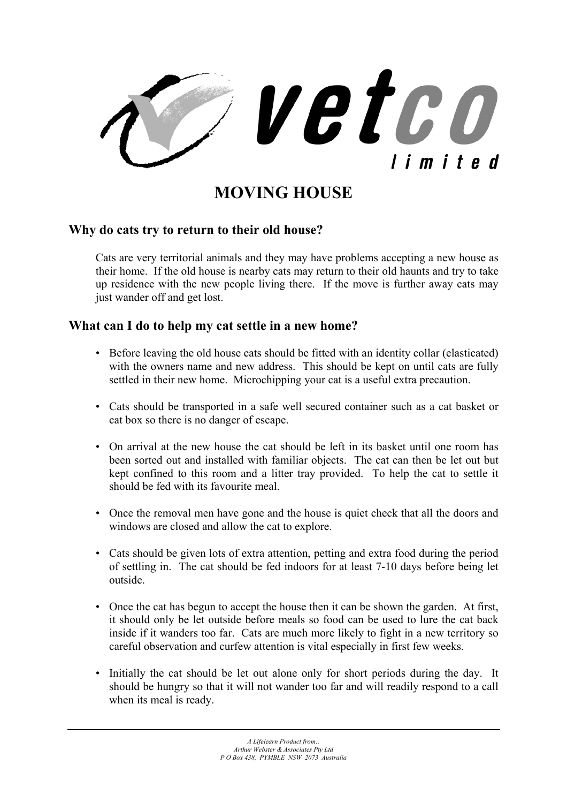

**MOVING HOUSE** 

### **Why do cats try to return to their old house?**

Cats are very territorial animals and they may have problems accepting a new house as their home. If the old house is nearby cats may return to their old haunts and try to take up residence with the new people living there. If the move is further away cats may just wander off and get lost.

### **What can I do to help my cat settle in a new home?**

- Before leaving the old house cats should be fitted with an identity collar (elasticated) with the owners name and new address. This should be kept on until cats are fully settled in their new home. Microchipping your cat is a useful extra precaution.
- Cats should be transported in a safe well secured container such as a cat basket or cat box so there is no danger of escape.
- On arrival at the new house the cat should be left in its basket until one room has been sorted out and installed with familiar objects. The cat can then be let out but kept confined to this room and a litter tray provided. To help the cat to settle it should be fed with its favourite meal.
- Once the removal men have gone and the house is quiet check that all the doors and windows are closed and allow the cat to explore.
- Cats should be given lots of extra attention, petting and extra food during the period of settling in. The cat should be fed indoors for at least 7-10 days before being let outside.
- Once the cat has begun to accept the house then it can be shown the garden. At first, it should only be let outside before meals so food can be used to lure the cat back inside if it wanders too far. Cats are much more likely to fight in a new territory so careful observation and curfew attention is vital especially in first few weeks.
- Initially the cat should be let out alone only for short periods during the day. It should be hungry so that it will not wander too far and will readily respond to a call when its meal is ready.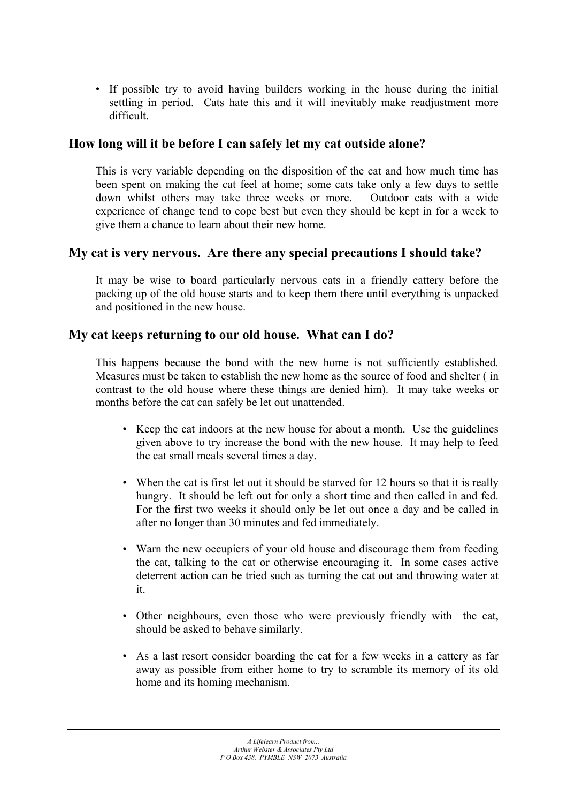• If possible try to avoid having builders working in the house during the initial settling in period. Cats hate this and it will inevitably make readjustment more difficult.

## **How long will it be before I can safely let my cat outside alone?**

This is very variable depending on the disposition of the cat and how much time has been spent on making the cat feel at home; some cats take only a few days to settle down whilst others may take three weeks or more. Outdoor cats with a wide experience of change tend to cope best but even they should be kept in for a week to give them a chance to learn about their new home.

### **My cat is very nervous. Are there any special precautions I should take?**

It may be wise to board particularly nervous cats in a friendly cattery before the packing up of the old house starts and to keep them there until everything is unpacked and positioned in the new house.

### **My cat keeps returning to our old house. What can I do?**

This happens because the bond with the new home is not sufficiently established. Measures must be taken to establish the new home as the source of food and shelter ( in contrast to the old house where these things are denied him). It may take weeks or months before the cat can safely be let out unattended.

- Keep the cat indoors at the new house for about a month. Use the guidelines given above to try increase the bond with the new house. It may help to feed the cat small meals several times a day.
- When the cat is first let out it should be starved for 12 hours so that it is really hungry. It should be left out for only a short time and then called in and fed. For the first two weeks it should only be let out once a day and be called in after no longer than 30 minutes and fed immediately.
- Warn the new occupiers of your old house and discourage them from feeding the cat, talking to the cat or otherwise encouraging it. In some cases active deterrent action can be tried such as turning the cat out and throwing water at it.
- Other neighbours, even those who were previously friendly with the cat, should be asked to behave similarly.
- As a last resort consider boarding the cat for a few weeks in a cattery as far away as possible from either home to try to scramble its memory of its old home and its homing mechanism.